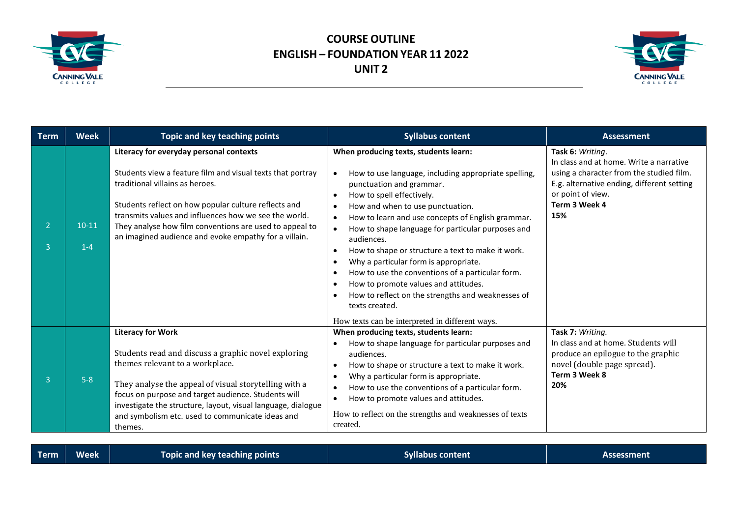

## **COURSE OUTLINE ENGLISH – FOUNDATION YEAR 11 2022 UNIT 2**



| <b>Term</b> | <b>Week</b>      | Topic and key teaching points                                                                                                                                                                                                                                                                                                                                                 | <b>Syllabus content</b>                                                                                                                                                                                                                                                                                                                                                                                                                                                                                                                                                                                                                                                                                 | <b>Assessment</b>                                                                                                                                                                                  |
|-------------|------------------|-------------------------------------------------------------------------------------------------------------------------------------------------------------------------------------------------------------------------------------------------------------------------------------------------------------------------------------------------------------------------------|---------------------------------------------------------------------------------------------------------------------------------------------------------------------------------------------------------------------------------------------------------------------------------------------------------------------------------------------------------------------------------------------------------------------------------------------------------------------------------------------------------------------------------------------------------------------------------------------------------------------------------------------------------------------------------------------------------|----------------------------------------------------------------------------------------------------------------------------------------------------------------------------------------------------|
| ٩           | $10-11$<br>$1-4$ | Literacy for everyday personal contexts<br>Students view a feature film and visual texts that portray<br>traditional villains as heroes.<br>Students reflect on how popular culture reflects and<br>transmits values and influences how we see the world.<br>They analyse how film conventions are used to appeal to<br>an imagined audience and evoke empathy for a villain. | When producing texts, students learn:<br>How to use language, including appropriate spelling,<br>punctuation and grammar.<br>How to spell effectively.<br>$\bullet$<br>How and when to use punctuation.<br>How to learn and use concepts of English grammar.<br>How to shape language for particular purposes and<br>audiences.<br>How to shape or structure a text to make it work.<br>$\bullet$<br>Why a particular form is appropriate.<br>$\bullet$<br>How to use the conventions of a particular form.<br>$\bullet$<br>How to promote values and attitudes.<br>$\bullet$<br>How to reflect on the strengths and weaknesses of<br>texts created.<br>How texts can be interpreted in different ways. | Task 6: Writing.<br>In class and at home. Write a narrative<br>using a character from the studied film.<br>E.g. alternative ending, different setting<br>or point of view.<br>Term 3 Week 4<br>15% |
| ٩           | $5-8$            | <b>Literacy for Work</b><br>Students read and discuss a graphic novel exploring<br>themes relevant to a workplace.<br>They analyse the appeal of visual storytelling with a<br>focus on purpose and target audience. Students will<br>investigate the structure, layout, visual language, dialogue<br>and symbolism etc. used to communicate ideas and<br>themes.             | When producing texts, students learn:<br>How to shape language for particular purposes and<br>$\bullet$<br>audiences.<br>How to shape or structure a text to make it work.<br>$\bullet$<br>Why a particular form is appropriate.<br>$\bullet$<br>How to use the conventions of a particular form.<br>How to promote values and attitudes.<br>$\bullet$<br>How to reflect on the strengths and weaknesses of texts<br>created.                                                                                                                                                                                                                                                                           | Task 7: Writing.<br>In class and at home. Students will<br>produce an epilogue to the graphic<br>novel (double page spread).<br>Term 3 Week 8<br>20%                                               |

|  | Term <sup>1</sup> | <b>Week</b> | Topic and key teaching points <b>th</b> | Syllabus content | Assessment |
|--|-------------------|-------------|-----------------------------------------|------------------|------------|
|--|-------------------|-------------|-----------------------------------------|------------------|------------|